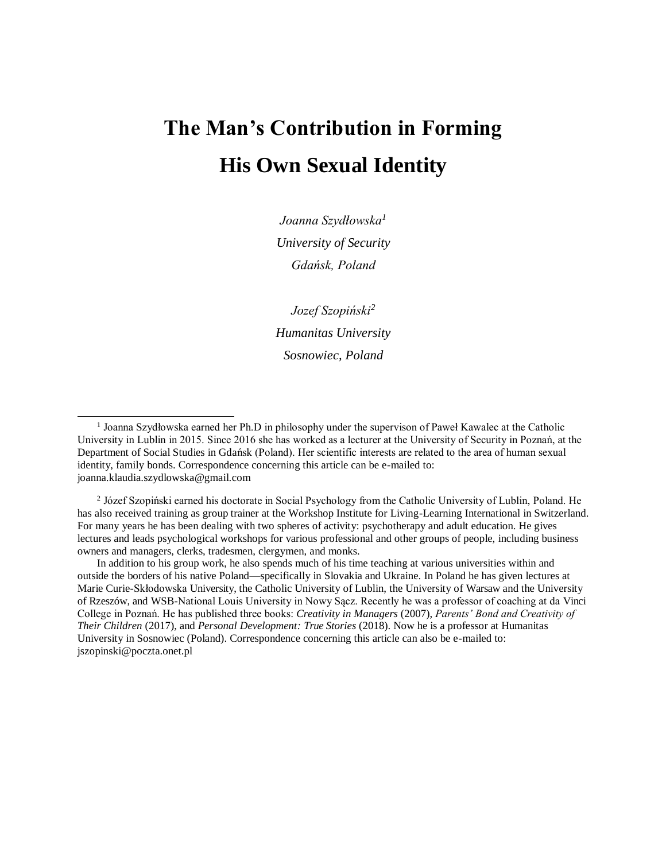# **The Man's Contribution in Forming His Own Sexual Identity**

*Joanna Szydłowska<sup>1</sup> University of Security Gdańsk, Poland*

*Jozef Szopiński<sup>2</sup> Humanitas University Sosnowiec, Poland*

<sup>2</sup> Józef Szopiński earned his doctorate in Social Psychology from the Catholic University of Lublin, Poland. He has also received training as group trainer at the Workshop Institute for Living-Learning International in Switzerland. For many years he has been dealing with two spheres of activity: psychotherapy and adult education. He gives lectures and leads psychological workshops for various professional and other groups of people, including business owners and managers, clerks, tradesmen, clergymen, and monks.

In addition to his group work, he also spends much of his time teaching at various universities within and outside the borders of his native Poland—specifically in Slovakia and Ukraine. In Poland he has given lectures at Marie Curie-Skłodowska University, the Catholic University of Lublin, the University of Warsaw and the University of Rzeszów, and WSB-National Louis University in Nowy Sącz. Recently he was a professor of coaching at da Vinci College in Poznań. He has published three books: *Creativity in Managers* (2007), *Parents' Bond and Creativity of Their Children* (2017), and *Personal Development: True Stories* (2018). Now he is a professor at Humanitas University in Sosnowiec (Poland). Correspondence concerning this article can also be e-mailed to: [jszopinski@poczta.onet.pl](mailto:jszopinski@poczta.onet.pl)

<sup>&</sup>lt;sup>1</sup> Joanna Szydłowska earned her Ph.D in philosophy under the supervison of Paweł Kawalec at the Catholic University in Lublin in 2015. Since 2016 she has worked as a lecturer at the University of Security in Poznań, at the Department of Social Studies in Gdańsk (Poland). Her scientific interests are related to the area of human sexual identity, family bonds. Correspondence concerning this article can be e-mailed to: [joanna.klaudia.szydlowska@gmail.com](mailto:joanna.klaudia.szydlowska@gmail.com)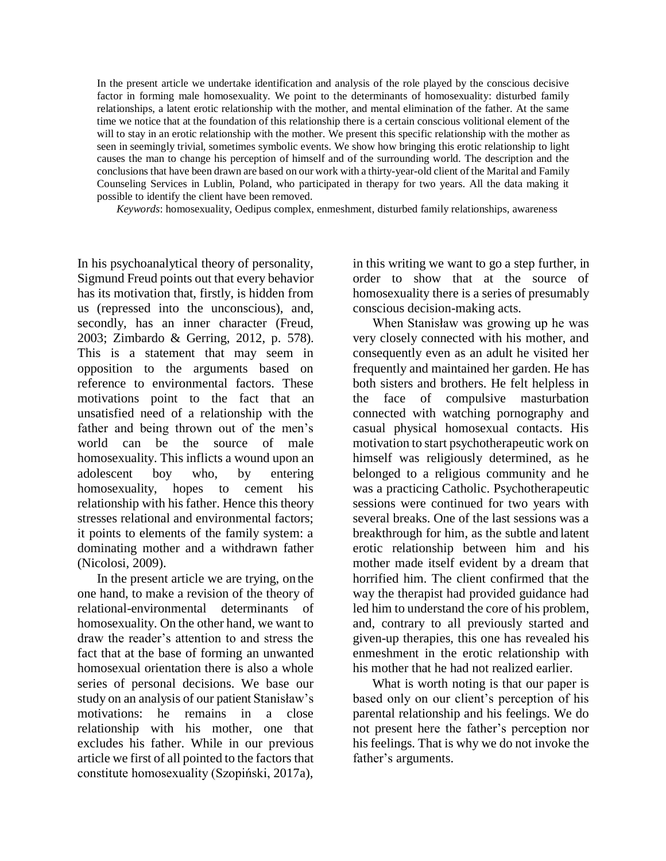In the present article we undertake identification and analysis of the role played by the conscious decisive factor in forming male homosexuality. We point to the determinants of homosexuality: disturbed family relationships, a latent erotic relationship with the mother, and mental elimination of the father. At the same time we notice that at the foundation of this relationship there is a certain conscious volitional element of the will to stay in an erotic relationship with the mother. We present this specific relationship with the mother as seen in seemingly trivial, sometimes symbolic events. We show how bringing this erotic relationship to light causes the man to change his perception of himself and of the surrounding world. The description and the conclusions that have been drawn are based on our work with a thirty-year-old client ofthe Marital and Family Counseling Services in Lublin, Poland, who participated in therapy for two years. All the data making it possible to identify the client have been removed.

*Keywords*: homosexuality, Oedipus complex, enmeshment, disturbed family relationships, awareness

In his psychoanalytical theory of personality, Sigmund Freud points out that every behavior has its motivation that, firstly, is hidden from us (repressed into the unconscious), and, secondly, has an inner character (Freud, 2003; Zimbardo & Gerring, 2012, p. 578). This is a statement that may seem in opposition to the arguments based on reference to environmental factors. These motivations point to the fact that an unsatisfied need of a relationship with the father and being thrown out of the men's world can be the source of male homosexuality. This inflicts a wound upon an adolescent boy who, by entering homosexuality, hopes to cement his relationship with his father. Hence this theory stresses relational and environmental factors; it points to elements of the family system: a dominating mother and a withdrawn father (Nicolosi, 2009).

In the present article we are trying, on the one hand, to make a revision of the theory of relational-environmental determinants of homosexuality. On the other hand, we want to draw the reader's attention to and stress the fact that at the base of forming an unwanted homosexual orientation there is also a whole series of personal decisions. We base our study on an analysis of our patient Stanisław's motivations: he remains in a close relationship with his mother, one that excludes his father. While in our previous article we first of all pointed to the factors that constitute homosexuality (Szopiński, 2017a),

in this writing we want to go a step further, in order to show that at the source of homosexuality there is a series of presumably conscious decision-making acts.

When Stanisław was growing up he was very closely connected with his mother, and consequently even as an adult he visited her frequently and maintained her garden. He has both sisters and brothers. He felt helpless in the face of compulsive masturbation connected with watching pornography and casual physical homosexual contacts. His motivation to start psychotherapeutic work on himself was religiously determined, as he belonged to a religious community and he was a practicing Catholic. Psychotherapeutic sessions were continued for two years with several breaks. One of the last sessions was a breakthrough for him, as the subtle and latent erotic relationship between him and his mother made itself evident by a dream that horrified him. The client confirmed that the way the therapist had provided guidance had led him to understand the core of his problem, and, contrary to all previously started and given-up therapies, this one has revealed his enmeshment in the erotic relationship with his mother that he had not realized earlier.

What is worth noting is that our paper is based only on our client's perception of his parental relationship and his feelings. We do not present here the father's perception nor his feelings. That is why we do not invoke the father's arguments.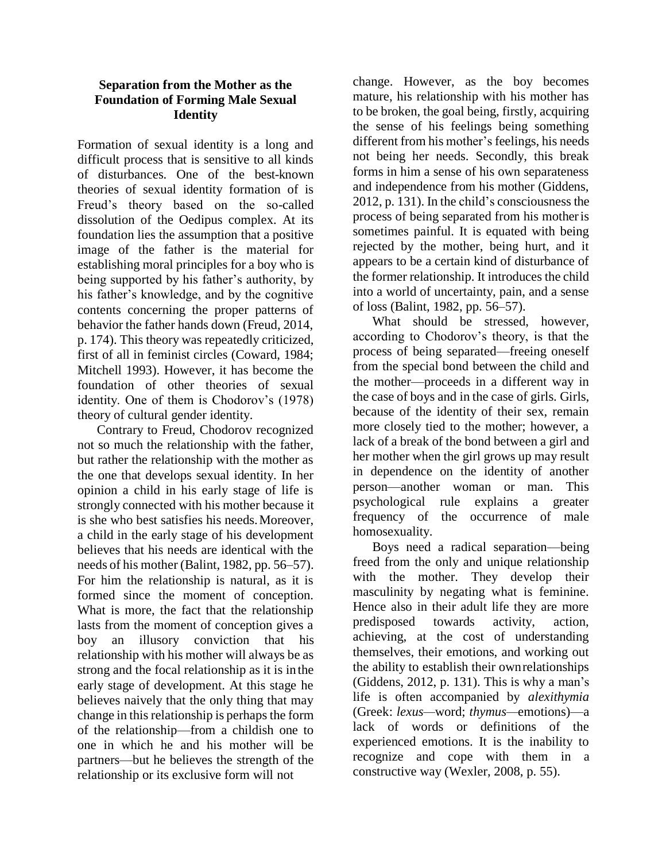#### **Separation from the Mother as the Foundation of Forming Male Sexual Identity**

Formation of sexual identity is a long and difficult process that is sensitive to all kinds of disturbances. One of the best-known theories of sexual identity formation of is Freud's theory based on the so-called dissolution of the Oedipus complex. At its foundation lies the assumption that a positive image of the father is the material for establishing moral principles for a boy who is being supported by his father's authority, by his father's knowledge, and by the cognitive contents concerning the proper patterns of behavior the father hands down (Freud, 2014, p. 174). This theory was repeatedly criticized, first of all in feminist circles (Coward, 1984; Mitchell 1993). However, it has become the foundation of other theories of sexual identity. One of them is Chodorov's (1978) theory of cultural gender identity.

Contrary to Freud, Chodorov recognized not so much the relationship with the father, but rather the relationship with the mother as the one that develops sexual identity. In her opinion a child in his early stage of life is strongly connected with his mother because it is she who best satisfies his needs.Moreover, a child in the early stage of his development believes that his needs are identical with the needs of his mother (Balint, 1982, pp. 56–57). For him the relationship is natural, as it is formed since the moment of conception. What is more, the fact that the relationship lasts from the moment of conception gives a boy an illusory conviction that his relationship with his mother will always be as strong and the focal relationship as it is in the early stage of development. At this stage he believes naively that the only thing that may change in this relationship is perhaps the form of the relationship—from a childish one to one in which he and his mother will be partners—but he believes the strength of the relationship or its exclusive form will not

change. However, as the boy becomes mature, his relationship with his mother has to be broken, the goal being, firstly, acquiring the sense of his feelings being something different from his mother's feelings, his needs not being her needs. Secondly, this break forms in him a sense of his own separateness and independence from his mother (Giddens, 2012, p. 131). In the child's consciousness the process of being separated from his motheris sometimes painful. It is equated with being rejected by the mother, being hurt, and it appears to be a certain kind of disturbance of the former relationship. It introduces the child into a world of uncertainty, pain, and a sense of loss (Balint, 1982, pp. 56–57).

What should be stressed, however, according to Chodorov's theory, is that the process of being separated—freeing oneself from the special bond between the child and the mother—proceeds in a different way in the case of boys and in the case of girls. Girls, because of the identity of their sex, remain more closely tied to the mother; however, a lack of a break of the bond between a girl and her mother when the girl grows up may result in dependence on the identity of another person—another woman or man. This psychological rule explains a greater frequency of the occurrence of male homosexuality.

Boys need a radical separation—being freed from the only and unique relationship with the mother. They develop their masculinity by negating what is feminine. Hence also in their adult life they are more predisposed towards activity, action, achieving, at the cost of understanding themselves, their emotions, and working out the ability to establish their ownrelationships (Giddens, 2012, p. 131). This is why a man's life is often accompanied by *alexithymia*  (Greek: *lexus—*word; *thymus—*emotions)—a lack of words or definitions of the experienced emotions. It is the inability to recognize and cope with them in a constructive way (Wexler, 2008, p. 55).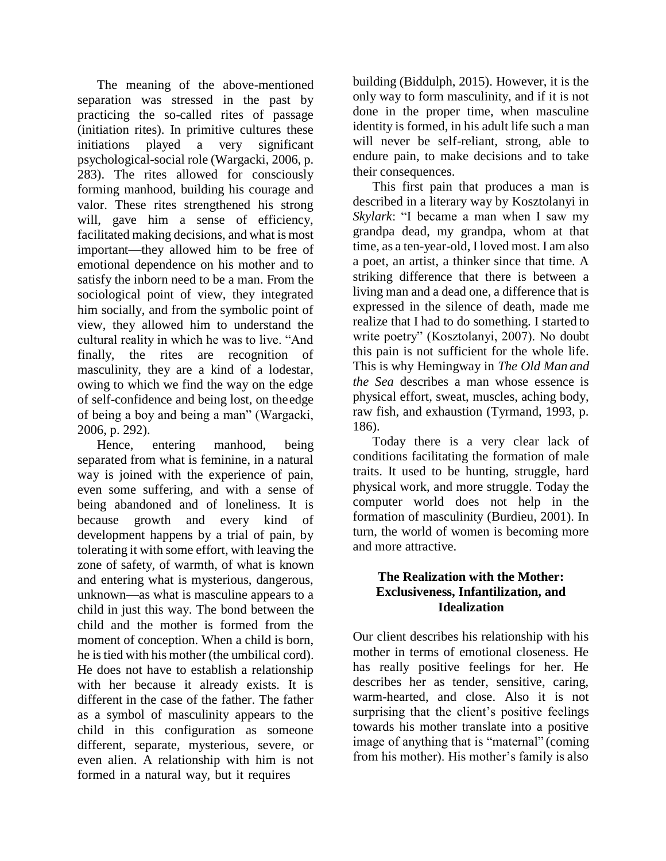The meaning of the above-mentioned separation was stressed in the past by practicing the so-called rites of passage (initiation rites). In primitive cultures these initiations played a very significant psychological-social role (Wargacki, 2006, p. 283). The rites allowed for consciously forming manhood, building his courage and valor. These rites strengthened his strong will, gave him a sense of efficiency, facilitated making decisions, and what is most important—they allowed him to be free of emotional dependence on his mother and to satisfy the inborn need to be a man. From the sociological point of view, they integrated him socially, and from the symbolic point of view, they allowed him to understand the cultural reality in which he was to live. "And finally, the rites are recognition of masculinity, they are a kind of a lodestar, owing to which we find the way on the edge of self-confidence and being lost, on theedge of being a boy and being a man" (Wargacki, 2006, p. 292).

Hence, entering manhood, being separated from what is feminine, in a natural way is joined with the experience of pain, even some suffering, and with a sense of being abandoned and of loneliness. It is because growth and every kind of development happens by a trial of pain, by tolerating it with some effort, with leaving the zone of safety, of warmth, of what is known and entering what is mysterious, dangerous, unknown—as what is masculine appears to a child in just this way. The bond between the child and the mother is formed from the moment of conception. When a child is born, he istied with his mother (the umbilical cord). He does not have to establish a relationship with her because it already exists. It is different in the case of the father. The father as a symbol of masculinity appears to the child in this configuration as someone different, separate, mysterious, severe, or even alien. A relationship with him is not formed in a natural way, but it requires

building (Biddulph, 2015). However, it is the only way to form masculinity, and if it is not done in the proper time, when masculine identity is formed, in his adult life such a man will never be self-reliant, strong, able to endure pain, to make decisions and to take their consequences.

This first pain that produces a man is described in a literary way by Kosztolanyi in *Skylark*: "I became a man when I saw my grandpa dead, my grandpa, whom at that time, as a ten-year-old, I loved most. I am also a poet, an artist, a thinker since that time. A striking difference that there is between a living man and a dead one, a difference that is expressed in the silence of death, made me realize that I had to do something. I started to write poetry" (Kosztolanyi, 2007). No doubt this pain is not sufficient for the whole life. This is why Hemingway in *The Old Man and the Sea* describes a man whose essence is physical effort, sweat, muscles, aching body, raw fish, and exhaustion (Tyrmand, 1993, p. 186).

Today there is a very clear lack of conditions facilitating the formation of male traits. It used to be hunting, struggle, hard physical work, and more struggle. Today the computer world does not help in the formation of masculinity (Burdieu, 2001). In turn, the world of women is becoming more and more attractive.

## **The Realization with the Mother: Exclusiveness, Infantilization, and Idealization**

Our client describes his relationship with his mother in terms of emotional closeness. He has really positive feelings for her. He describes her as tender, sensitive, caring, warm-hearted, and close. Also it is not surprising that the client's positive feelings towards his mother translate into a positive image of anything that is "maternal" (coming from his mother). His mother's family is also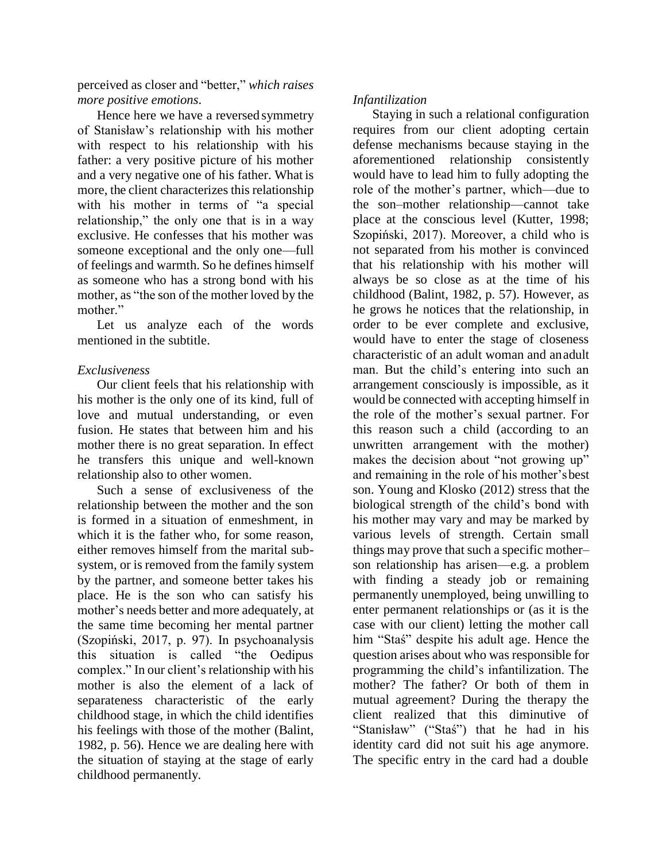perceived as closer and "better," *which raises more positive emotions*.

Hence here we have a reversed symmetry of Stanisław's relationship with his mother with respect to his relationship with his father: a very positive picture of his mother and a very negative one of his father. What is more, the client characterizes this relationship with his mother in terms of "a special relationship," the only one that is in a way exclusive. He confesses that his mother was someone exceptional and the only one—full of feelings and warmth. So he defines himself as someone who has a strong bond with his mother, as "the son of the mother loved by the mother."

Let us analyze each of the words mentioned in the subtitle.

## *Exclusiveness*

Our client feels that his relationship with his mother is the only one of its kind, full of love and mutual understanding, or even fusion. He states that between him and his mother there is no great separation. In effect he transfers this unique and well-known relationship also to other women.

Such a sense of exclusiveness of the relationship between the mother and the son is formed in a situation of enmeshment, in which it is the father who, for some reason. either removes himself from the marital subsystem, or is removed from the family system by the partner, and someone better takes his place. He is the son who can satisfy his mother's needs better and more adequately, at the same time becoming her mental partner (Szopiński, 2017, p. 97). In psychoanalysis this situation is called "the Oedipus complex." In our client's relationship with his mother is also the element of a lack of separateness characteristic of the early childhood stage, in which the child identifies his feelings with those of the mother (Balint, 1982, p. 56). Hence we are dealing here with the situation of staying at the stage of early childhood permanently.

## *Infantilization*

Staying in such a relational configuration requires from our client adopting certain defense mechanisms because staying in the aforementioned relationship consistently would have to lead him to fully adopting the role of the mother's partner, which—due to the son–mother relationship—cannot take place at the conscious level (Kutter, 1998; Szopiński, 2017). Moreover, a child who is not separated from his mother is convinced that his relationship with his mother will always be so close as at the time of his childhood (Balint, 1982, p. 57). However, as he grows he notices that the relationship, in order to be ever complete and exclusive, would have to enter the stage of closeness characteristic of an adult woman and anadult man. But the child's entering into such an arrangement consciously is impossible, as it would be connected with accepting himself in the role of the mother's sexual partner. For this reason such a child (according to an unwritten arrangement with the mother) makes the decision about "not growing up" and remaining in the role of his mother'sbest son. Young and Klosko (2012) stress that the biological strength of the child's bond with his mother may vary and may be marked by various levels of strength. Certain small things may prove that such a specific mother– son relationship has arisen—e.g. a problem with finding a steady job or remaining permanently unemployed, being unwilling to enter permanent relationships or (as it is the case with our client) letting the mother call him "Staś" despite his adult age. Hence the question arises about who was responsible for programming the child's infantilization. The mother? The father? Or both of them in mutual agreement? During the therapy the client realized that this diminutive of "Stanisław" ("Staś") that he had in his identity card did not suit his age anymore. The specific entry in the card had a double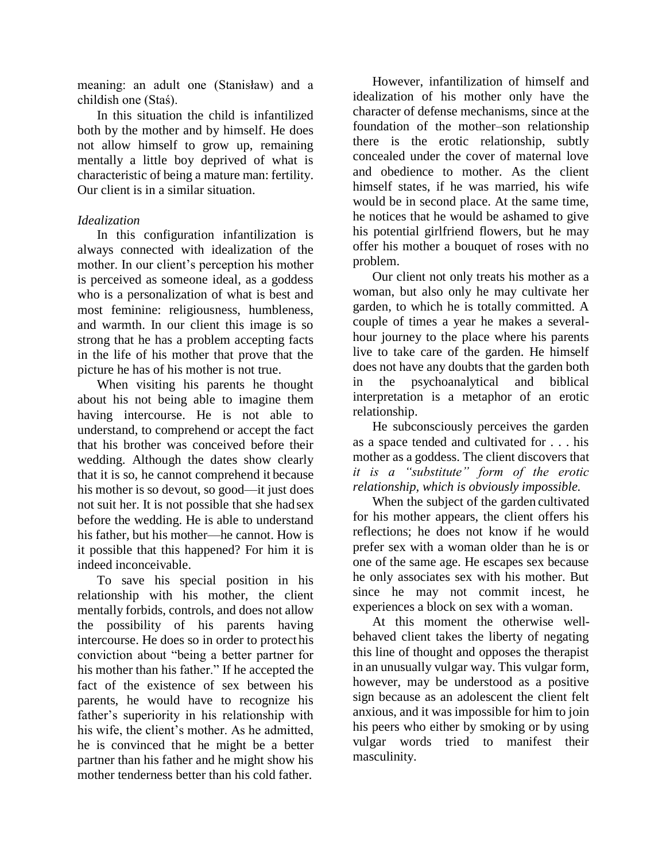meaning: an adult one (Stanisław) and a childish one (Staś).

In this situation the child is infantilized both by the mother and by himself. He does not allow himself to grow up, remaining mentally a little boy deprived of what is characteristic of being a mature man: fertility. Our client is in a similar situation.

## *Idealization*

In this configuration infantilization is always connected with idealization of the mother. In our client's perception his mother is perceived as someone ideal, as a goddess who is a personalization of what is best and most feminine: religiousness, humbleness, and warmth. In our client this image is so strong that he has a problem accepting facts in the life of his mother that prove that the picture he has of his mother is not true.

When visiting his parents he thought about his not being able to imagine them having intercourse. He is not able to understand, to comprehend or accept the fact that his brother was conceived before their wedding. Although the dates show clearly that it is so, he cannot comprehend it because his mother is so devout, so good—it just does not suit her. It is not possible that she had sex before the wedding. He is able to understand his father, but his mother—he cannot. How is it possible that this happened? For him it is indeed inconceivable.

To save his special position in his relationship with his mother, the client mentally forbids, controls, and does not allow the possibility of his parents having intercourse. He does so in order to protecthis conviction about "being a better partner for his mother than his father." If he accepted the fact of the existence of sex between his parents, he would have to recognize his father's superiority in his relationship with his wife, the client's mother. As he admitted, he is convinced that he might be a better partner than his father and he might show his mother tenderness better than his cold father.

However, infantilization of himself and idealization of his mother only have the character of defense mechanisms, since at the foundation of the mother–son relationship there is the erotic relationship, subtly concealed under the cover of maternal love and obedience to mother. As the client himself states, if he was married, his wife would be in second place. At the same time, he notices that he would be ashamed to give his potential girlfriend flowers, but he may offer his mother a bouquet of roses with no problem.

Our client not only treats his mother as a woman, but also only he may cultivate her garden, to which he is totally committed. A couple of times a year he makes a severalhour journey to the place where his parents live to take care of the garden. He himself does not have any doubts that the garden both in the psychoanalytical and biblical interpretation is a metaphor of an erotic relationship.

He subconsciously perceives the garden as a space tended and cultivated for . . . his mother as a goddess. The client discovers that *it is a "substitute" form of the erotic relationship, which is obviously impossible.*

When the subject of the garden cultivated for his mother appears, the client offers his reflections; he does not know if he would prefer sex with a woman older than he is or one of the same age. He escapes sex because he only associates sex with his mother. But since he may not commit incest, he experiences a block on sex with a woman.

At this moment the otherwise wellbehaved client takes the liberty of negating this line of thought and opposes the therapist in an unusually vulgar way. This vulgar form, however, may be understood as a positive sign because as an adolescent the client felt anxious, and it was impossible for him to join his peers who either by smoking or by using vulgar words tried to manifest their masculinity.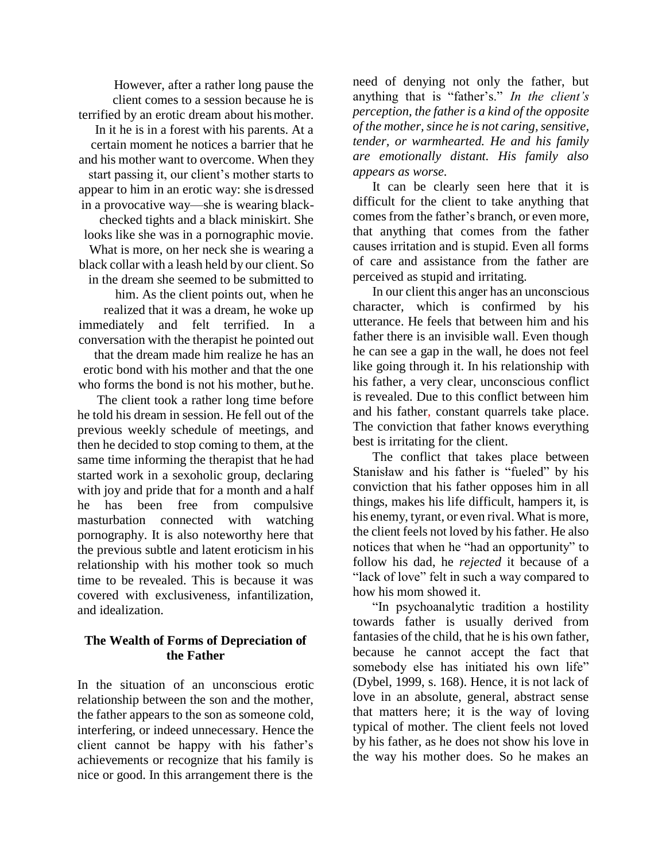However, after a rather long pause the client comes to a session because he is terrified by an erotic dream about hismother. In it he is in a forest with his parents. At a certain moment he notices a barrier that he and his mother want to overcome. When they start passing it, our client's mother starts to appear to him in an erotic way: she isdressed in a provocative way—she is wearing blackchecked tights and a black miniskirt. She looks like she was in a pornographic movie. What is more, on her neck she is wearing a black collar with a leash held by our client. So in the dream she seemed to be submitted to him. As the client points out, when he realized that it was a dream, he woke up immediately and felt terrified. In a conversation with the therapist he pointed out that the dream made him realize he has an erotic bond with his mother and that the one who forms the bond is not his mother, buthe.

The client took a rather long time before he told his dream in session. He fell out of the previous weekly schedule of meetings, and then he decided to stop coming to them, at the same time informing the therapist that he had started work in a sexoholic group, declaring with joy and pride that for a month and a half he has been free from compulsive masturbation connected with watching pornography. It is also noteworthy here that the previous subtle and latent eroticism in his relationship with his mother took so much time to be revealed. This is because it was covered with exclusiveness, infantilization, and idealization.

#### **The Wealth of Forms of Depreciation of the Father**

In the situation of an unconscious erotic relationship between the son and the mother, the father appears to the son as someone cold, interfering, or indeed unnecessary. Hence the client cannot be happy with his father's achievements or recognize that his family is nice or good. In this arrangement there is the

need of denying not only the father, but anything that is "father's." *In the client's perception, the father is a kind of the opposite of the mother, since he is not caring, sensitive, tender, or warmhearted. He and his family are emotionally distant. His family also appears as worse.*

It can be clearly seen here that it is difficult for the client to take anything that comes from the father's branch, or even more, that anything that comes from the father causes irritation and is stupid. Even all forms of care and assistance from the father are perceived as stupid and irritating.

In our client this anger has an unconscious character, which is confirmed by his utterance. He feels that between him and his father there is an invisible wall. Even though he can see a gap in the wall, he does not feel like going through it. In his relationship with his father, a very clear, unconscious conflict is revealed. Due to this conflict between him and his father, constant quarrels take place. The conviction that father knows everything best is irritating for the client.

The conflict that takes place between Stanisław and his father is "fueled" by his conviction that his father opposes him in all things, makes his life difficult, hampers it, is his enemy, tyrant, or even rival. What is more, the client feels not loved by his father. He also notices that when he "had an opportunity" to follow his dad, he *rejected* it because of a "lack of love" felt in such a way compared to how his mom showed it.

"In psychoanalytic tradition a hostility towards father is usually derived from fantasies of the child, that he is his own father, because he cannot accept the fact that somebody else has initiated his own life" (Dybel, 1999, s. 168). Hence, it is not lack of love in an absolute, general, abstract sense that matters here; it is the way of loving typical of mother. The client feels not loved by his father, as he does not show his love in the way his mother does. So he makes an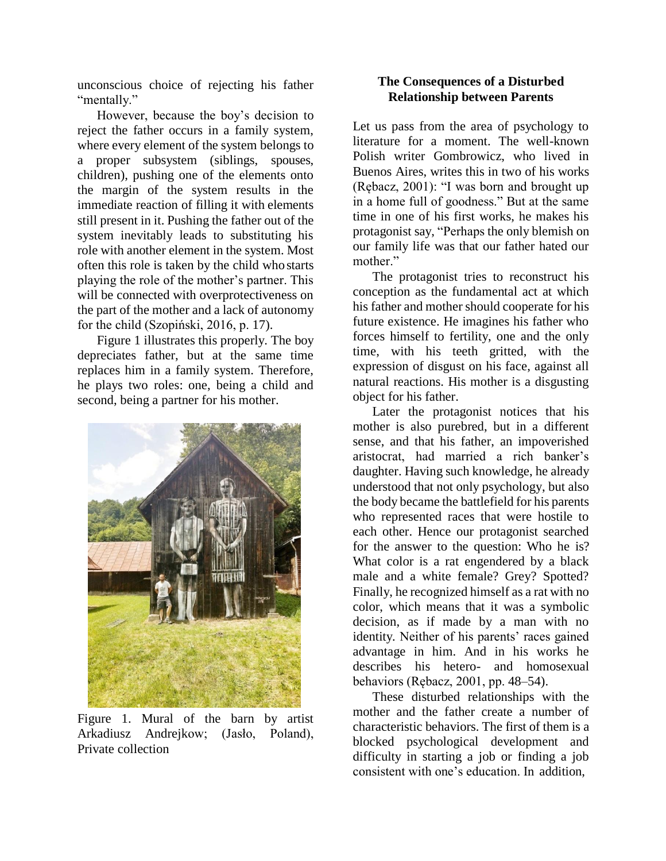unconscious choice of rejecting his father "mentally."

However, because the boy's decision to reject the father occurs in a family system, where every element of the system belongs to a proper subsystem (siblings, spouses, children), pushing one of the elements onto the margin of the system results in the immediate reaction of filling it with elements still present in it. Pushing the father out of the system inevitably leads to substituting his role with another element in the system. Most often this role is taken by the child who starts playing the role of the mother's partner. This will be connected with overprotectiveness on the part of the mother and a lack of autonomy for the child (Szopiński, 2016, p. 17).

Figure 1 illustrates this properly. The boy depreciates father, but at the same time replaces him in a family system. Therefore, he plays two roles: one, being a child and second, being a partner for his mother.



Figure 1. Mural of the barn by artist Arkadiusz Andrejkow; (Jasło, Poland), Private collection

## **The Consequences of a Disturbed Relationship between Parents**

Let us pass from the area of psychology to literature for a moment. The well-known Polish writer Gombrowicz, who lived in Buenos Aires, writes this in two of his works (Rębacz, 2001): "I was born and brought up in a home full of goodness." But at the same time in one of his first works, he makes his protagonist say, "Perhaps the only blemish on our family life was that our father hated our mother."

The protagonist tries to reconstruct his conception as the fundamental act at which his father and mother should cooperate for his future existence. He imagines his father who forces himself to fertility, one and the only time, with his teeth gritted, with the expression of disgust on his face, against all natural reactions. His mother is a disgusting object for his father.

Later the protagonist notices that his mother is also purebred, but in a different sense, and that his father, an impoverished aristocrat, had married a rich banker's daughter. Having such knowledge, he already understood that not only psychology, but also the body became the battlefield for his parents who represented races that were hostile to each other. Hence our protagonist searched for the answer to the question: Who he is? What color is a rat engendered by a black male and a white female? Grey? Spotted? Finally, he recognized himself as a rat with no color, which means that it was a symbolic decision, as if made by a man with no identity*.* Neither of his parents' races gained advantage in him. And in his works he describes his hetero- and homosexual behaviors (Rębacz, 2001, pp. 48–54).

These disturbed relationships with the mother and the father create a number of characteristic behaviors. The first of them is a blocked psychological development and difficulty in starting a job or finding a job consistent with one's education. In addition,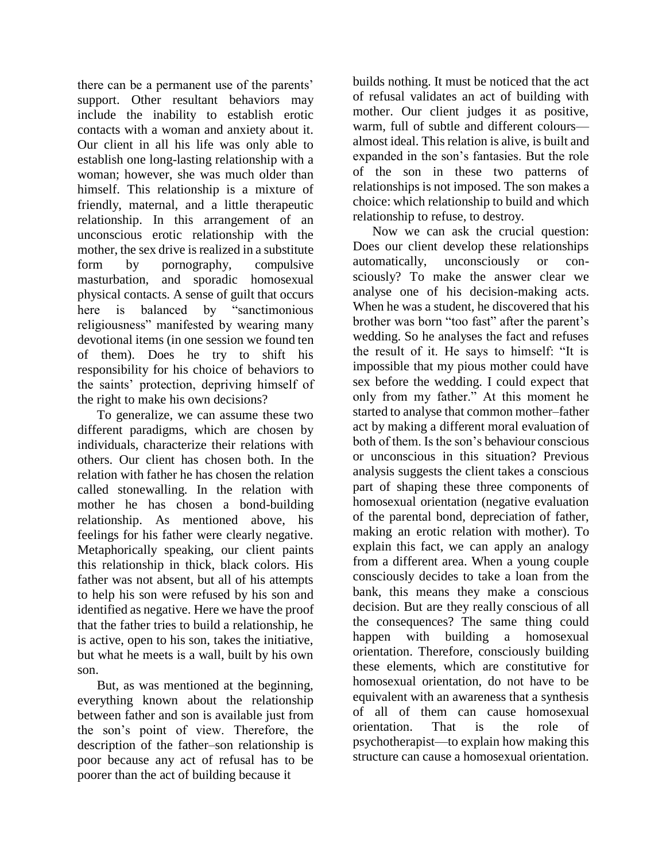there can be a permanent use of the parents' support. Other resultant behaviors may include the inability to establish erotic contacts with a woman and anxiety about it. Our client in all his life was only able to establish one long-lasting relationship with a woman; however, she was much older than himself. This relationship is a mixture of friendly, maternal, and a little therapeutic relationship. In this arrangement of an unconscious erotic relationship with the mother, the sex drive is realized in a substitute form by pornography, compulsive masturbation, and sporadic homosexual physical contacts. A sense of guilt that occurs here is balanced by "sanctimonious religiousness" manifested by wearing many devotional items (in one session we found ten of them). Does he try to shift his responsibility for his choice of behaviors to the saints' protection, depriving himself of the right to make his own decisions?

To generalize, we can assume these two different paradigms, which are chosen by individuals, characterize their relations with others. Our client has chosen both. In the relation with father he has chosen the relation called stonewalling. In the relation with mother he has chosen a bond-building relationship. As mentioned above, his feelings for his father were clearly negative. Metaphorically speaking, our client paints this relationship in thick, black colors. His father was not absent, but all of his attempts to help his son were refused by his son and identified as negative. Here we have the proof that the father tries to build a relationship, he is active, open to his son, takes the initiative, but what he meets is a wall, built by his own son.

But, as was mentioned at the beginning, everything known about the relationship between father and son is available just from the son's point of view. Therefore, the description of the father–son relationship is poor because any act of refusal has to be poorer than the act of building because it

builds nothing. It must be noticed that the act of refusal validates an act of building with mother. Our client judges it as positive, warm, full of subtle and different colours almost ideal. This relation is alive, is built and expanded in the son's fantasies. But the role of the son in these two patterns of relationships is not imposed. The son makes a choice: which relationship to build and which relationship to refuse, to destroy.

Now we can ask the crucial question: Does our client develop these relationships automatically, unconsciously or consciously? To make the answer clear we analyse one of his decision-making acts. When he was a student, he discovered that his brother was born "too fast" after the parent's wedding. So he analyses the fact and refuses the result of it. He says to himself: "It is impossible that my pious mother could have sex before the wedding. I could expect that only from my father." At this moment he started to analyse that common mother–father act by making a different moral evaluation of both of them. Is the son's behaviour conscious or unconscious in this situation? Previous analysis suggests the client takes a conscious part of shaping these three components of homosexual orientation (negative evaluation of the parental bond, depreciation of father, making an erotic relation with mother). To explain this fact, we can apply an analogy from a different area. When a young couple consciously decides to take a loan from the bank, this means they make a conscious decision. But are they really conscious of all the consequences? The same thing could happen with building a homosexual orientation. Therefore, consciously building these elements, which are constitutive for homosexual orientation, do not have to be equivalent with an awareness that a synthesis of all of them can cause homosexual orientation. That is the role of psychotherapist—to explain how making this structure can cause a homosexual orientation.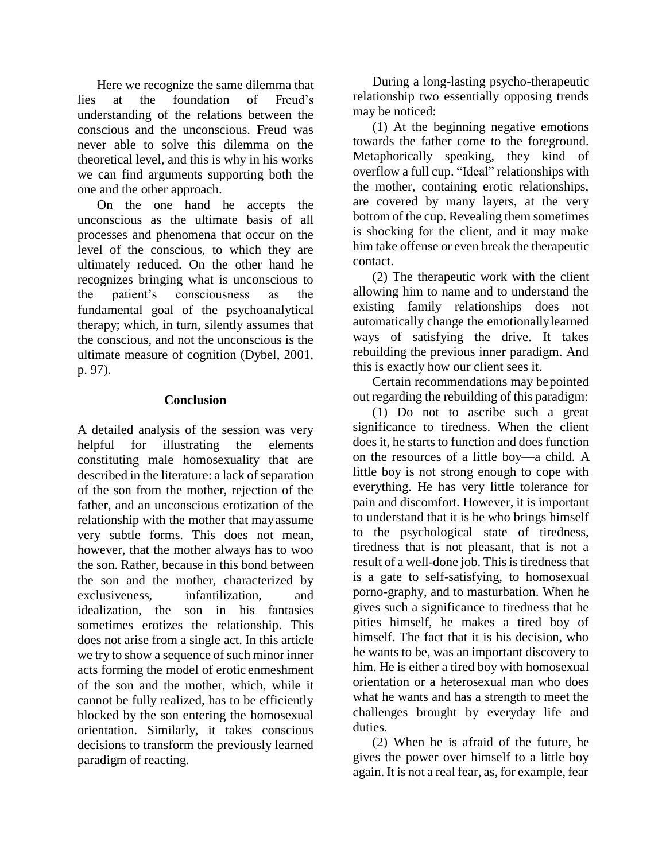Here we recognize the same dilemma that lies at the foundation of Freud's understanding of the relations between the conscious and the unconscious. Freud was never able to solve this dilemma on the theoretical level, and this is why in his works we can find arguments supporting both the one and the other approach.

On the one hand he accepts the unconscious as the ultimate basis of all processes and phenomena that occur on the level of the conscious, to which they are ultimately reduced. On the other hand he recognizes bringing what is unconscious to the patient's consciousness as the fundamental goal of the psychoanalytical therapy; which, in turn, silently assumes that the conscious, and not the unconscious is the ultimate measure of cognition (Dybel, 2001, p. 97).

#### **Conclusion**

A detailed analysis of the session was very helpful for illustrating the elements constituting male homosexuality that are described in the literature: a lack of separation of the son from the mother, rejection of the father, and an unconscious erotization of the relationship with the mother that mayassume very subtle forms. This does not mean, however, that the mother always has to woo the son. Rather, because in this bond between the son and the mother, characterized by exclusiveness, infantilization, and idealization, the son in his fantasies sometimes erotizes the relationship. This does not arise from a single act. In this article we try to show a sequence of such minor inner acts forming the model of erotic enmeshment of the son and the mother, which, while it cannot be fully realized, has to be efficiently blocked by the son entering the homosexual orientation. Similarly, it takes conscious decisions to transform the previously learned paradigm of reacting.

During a long-lasting psycho-therapeutic relationship two essentially opposing trends may be noticed:

(1) At the beginning negative emotions towards the father come to the foreground. Metaphorically speaking, they kind of overflow a full cup. "Ideal" relationships with the mother, containing erotic relationships, are covered by many layers, at the very bottom of the cup. Revealing them sometimes is shocking for the client, and it may make him take offense or even break the therapeutic contact.

(2) The therapeutic work with the client allowing him to name and to understand the existing family relationships does not automatically change the emotionallylearned ways of satisfying the drive. It takes rebuilding the previous inner paradigm. And this is exactly how our client sees it.

Certain recommendations may bepointed out regarding the rebuilding of this paradigm:

(1) Do not to ascribe such a great significance to tiredness. When the client does it, he starts to function and does function on the resources of a little boy—a child. A little boy is not strong enough to cope with everything. He has very little tolerance for pain and discomfort. However, it is important to understand that it is he who brings himself to the psychological state of tiredness, tiredness that is not pleasant, that is not a result of a well-done job. This is tiredness that is a gate to self-satisfying, to homosexual porno-graphy, and to masturbation. When he gives such a significance to tiredness that he pities himself, he makes a tired boy of himself. The fact that it is his decision, who he wants to be, was an important discovery to him. He is either a tired boy with homosexual orientation or a heterosexual man who does what he wants and has a strength to meet the challenges brought by everyday life and duties.

(2) When he is afraid of the future, he gives the power over himself to a little boy again. It is not a real fear, as, for example, fear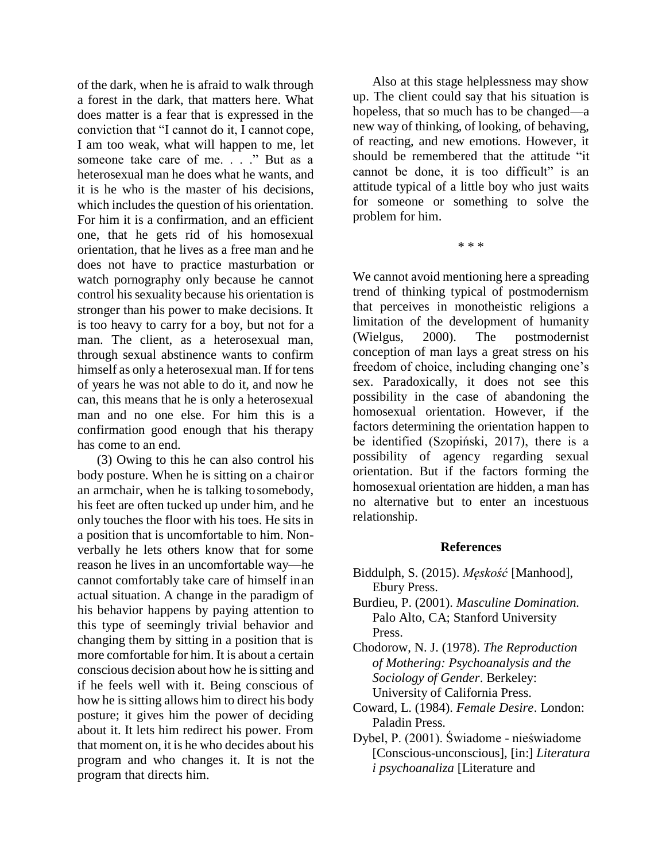of the dark, when he is afraid to walk through a forest in the dark, that matters here. What does matter is a fear that is expressed in the conviction that "I cannot do it, I cannot cope, I am too weak, what will happen to me, let someone take care of me. . . ." But as a heterosexual man he does what he wants, and it is he who is the master of his decisions, which includes the question of his orientation. For him it is a confirmation, and an efficient one, that he gets rid of his homosexual orientation, that he lives as a free man and he does not have to practice masturbation or watch pornography only because he cannot control his sexuality because his orientation is stronger than his power to make decisions. It is too heavy to carry for a boy, but not for a man. The client, as a heterosexual man, through sexual abstinence wants to confirm himself as only a heterosexual man. If for tens of years he was not able to do it, and now he can, this means that he is only a heterosexual man and no one else. For him this is a confirmation good enough that his therapy has come to an end.

(3) Owing to this he can also control his body posture. When he is sitting on a chairor an armchair, when he is talking tosomebody, his feet are often tucked up under him, and he only touches the floor with his toes. He sits in a position that is uncomfortable to him. Nonverbally he lets others know that for some reason he lives in an uncomfortable way—he cannot comfortably take care of himself inan actual situation. A change in the paradigm of his behavior happens by paying attention to this type of seemingly trivial behavior and changing them by sitting in a position that is more comfortable for him. It is about a certain conscious decision about how he issitting and if he feels well with it. Being conscious of how he is sitting allows him to direct his body posture; it gives him the power of deciding about it. It lets him redirect his power. From that moment on, it is he who decides about his program and who changes it. It is not the program that directs him.

Also at this stage helplessness may show up. The client could say that his situation is hopeless, that so much has to be changed—a new way of thinking, of looking, of behaving, of reacting, and new emotions. However, it should be remembered that the attitude "it cannot be done, it is too difficult" is an attitude typical of a little boy who just waits for someone or something to solve the problem for him.

\* \* \*

We cannot avoid mentioning here a spreading trend of thinking typical of postmodernism that perceives in monotheistic religions a limitation of the development of humanity (Wielgus, 2000). The postmodernist conception of man lays a great stress on his freedom of choice, including changing one's sex. Paradoxically, it does not see this possibility in the case of abandoning the homosexual orientation. However, if the factors determining the orientation happen to be identified (Szopiński, 2017), there is a possibility of agency regarding sexual orientation. But if the factors forming the homosexual orientation are hidden, a man has no alternative but to enter an incestuous relationship.

#### **References**

- Biddulph, S. (2015). *Męskość* [Manhood], Ebury Press.
- Burdieu, P. (2001). *Masculine Domination.* Palo Alto, CA; Stanford University Press.

Chodorow, N. J. (1978). *The Reproduction of Mothering: Psychoanalysis and the Sociology of Gender*. Berkeley: University of California Press.

- Coward, L. (1984). *Female Desire*. London: Paladin Press.
- Dybel, P. (2001). Świadome nieświadome [Conscious-unconscious], [in:] *Literatura i psychoanaliza* [Literature and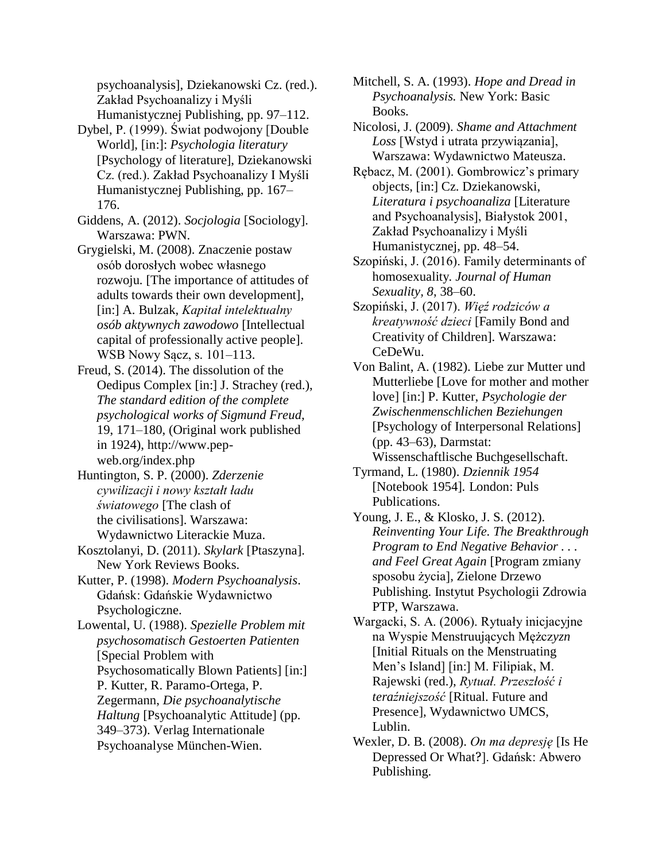psychoanalysis], Dziekanowski Cz. (red.). Zakład Psychoanalizy i Myśli Humanistycznej Publishing, pp. 97–112.

- Dybel, P. (1999). Świat podwojony [Double World], [in:]: *Psychologia literatury*  [Psychology of literature], Dziekanowski Cz. (red.). Zakład Psychoanalizy I Myśli Humanistycznej Publishing, pp. 167– 176.
- Giddens, A. (2012). *Socjologia* [Sociology]. Warszawa: PWN.
- Grygielski, M. (2008). Znaczenie postaw osób dorosłych wobec własnego rozwoju*.* [The importance of attitudes of adults towards their own development]*,*  [in:] A. Bulzak, *Kapitał intelektualny osób aktywnych zawodowo* [Intellectual capital of professionally active people]. WSB Nowy Sącz, s. 101–113.
- Freud, S. (2014). The dissolution of the Oedipus Complex [in:] J. Strachey (red.), *The standard edition of the complete psychological works of Sigmund Freud,*  19, 171–180, (Original work published in 1924), http://www.pepweb.org/index.php
- Huntington, S. P. (2000). *Zderzenie cywilizacji i nowy kształt ładu światowego* [The clash of the civilisations]. Warszawa: Wydawnictwo Literackie Muza.
- Kosztolanyi, D. (2011). *Skylark* [Ptaszyna]. New York Reviews Books.
- Kutter, P. (1998). *Modern Psychoanalysis*. Gdańsk: Gdańskie Wydawnictwo Psychologiczne.

Lowental, U. (1988). *Spezielle Problem mit psychosomatisch Gestoerten Patienten*  [Special Problem with Psychosomatically Blown Patients] [in:] P. Kutter, R. Paramo-Ortega, P. Zegermann, *Die psychoanalytische Haltung* [Psychoanalytic Attitude] (pp. 349–373). Verlag Internationale Psychoanalyse München-Wien.

- Mitchell, S. A. (1993). *Hope and Dread in Psychoanalysis.* New York: Basic Books.
- Nicolosi, J. (2009). *Shame and Attachment Loss* [Wstyd i utrata przywiązania], Warszawa: Wydawnictwo Mateusza.
- Rębacz, M. (2001). Gombrowicz's primary objects, [in:] Cz. Dziekanowski, *Literatura i psychoanaliza* [Literature and Psychoanalysis], Białystok 2001, Zakład Psychoanalizy i Myśli Humanistycznej, pp. 48–54.
- Szopiński, J. (2016). Family determinants of homosexuality*. Journal of Human Sexuality, 8*, 38–60.
- Szopiński, J. (2017). *Więź rodziców a kreatywność dzieci* [Family Bond and Creativity of Children]. Warszawa: CeDeWu.
- Von Balint, A. (1982). Liebe zur Mutter und Mutterliebe [Love for mother and mother love] [in:] P. Kutter, *Psychologie der Zwischenmenschlichen Beziehungen*  [Psychology of Interpersonal Relations] (pp. 43–63), Darmstat: Wissenschaftlische Buchgesellschaft.
- Tyrmand, L. (1980). *Dziennik 1954*  [Notebook 1954]*.* London: Puls Publications.
- Young, J. E., & Klosko, J. S. (2012). *Reinventing Your Life. The Breakthrough Program to End Negative Behavior . . . and Feel Great Again* [Program zmiany sposobu życia]*,* Zielone Drzewo Publishing. Instytut Psychologii Zdrowia PTP, Warszawa.
- Wargacki, S. A. (2006). Rytuały inicjacyjne na Wyspie Menstruujących Mężcz*yzn*  [Initial Rituals on the Menstruating Men's Island] [in:] M. Filipiak, M. Rajewski (red.), *Rytuał. Przeszłość i teraźniejszość* [Ritual. Future and Presence], Wydawnictwo UMCS, Lublin.
- Wexler, D. B. (2008). *On ma depresję* [Is He Depressed Or What?]. Gdańsk: Abwero Publishing.